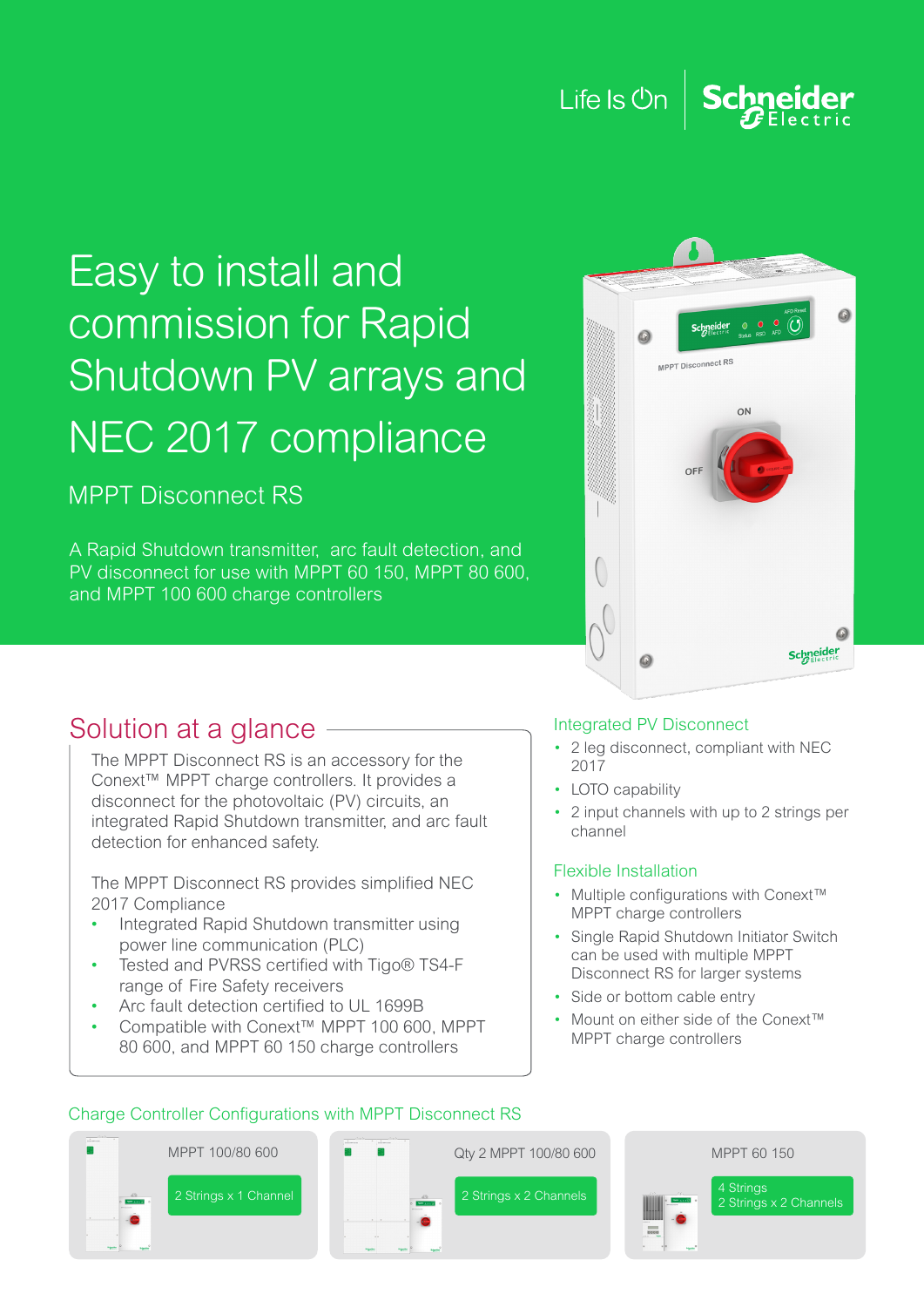#### Life Is Un **Schneider**

## Easy to install and commission for Rapid Shutdown PV arrays and NEC 2017 compliance

MPPT Disconnect RS

A Rapid Shutdown transmitter, arc fault detection, and PV disconnect for use with MPPT 60 150, MPPT 80 600, and MPPT 100 600 charge controllers



### Solution at a glance

The MPPT Disconnect RS is an accessory for the Conext™ MPPT charge controllers. It provides a disconnect for the photovoltaic (PV) circuits, an integrated Rapid Shutdown transmitter, and arc fault detection for enhanced safety.

The MPPT Disconnect RS provides simplified NEC 2017 Compliance

- Integrated Rapid Shutdown transmitter using power line communication (PLC)
- Tested and PVRSS certified with Tigo® TS4-F range of Fire Safety receivers
- Arc fault detection certified to UL 1699B
- Compatible with Conext™ MPPT 100 600, MPPT 80 600, and MPPT 60 150 charge controllers

#### Integrated PV Disconnect

- 2 leg disconnect, compliant with NEC 2017
- LOTO capability
- 2 input channels with up to 2 strings per channel

#### Flexible Installation

- Multiple configurations with Conext™ MPPT charge controllers
- Single Rapid Shutdown Initiator Switch can be used with multiple MPPT Disconnect RS for larger systems
- Side or bottom cable entry
- Mount on either side of the Conext™ MPPT charge controllers



#### Charge Controller Configurations with MPPT Disconnect RS